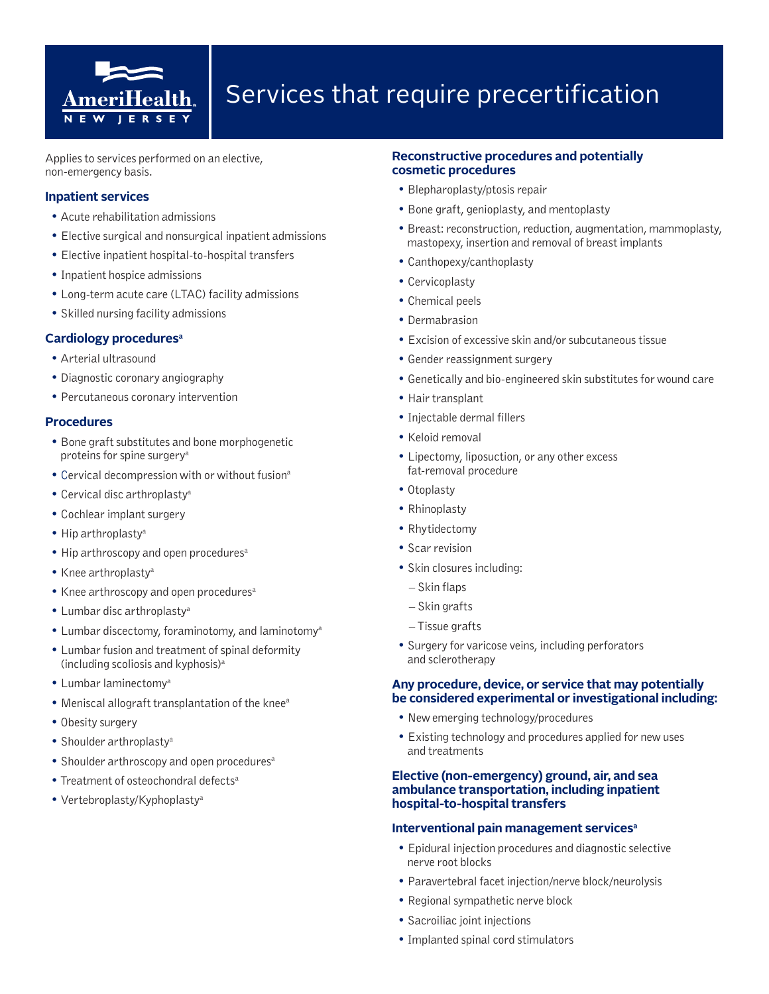

Applies to services performed on an elective, non-emergency basis.

#### **Inpatient services**

- Acute rehabilitation admissions
- Elective surgical and nonsurgical inpatient admissions
- Elective inpatient hospital-to-hospital transfers
- Inpatient hospice admissions
- Long-term acute care (LTAC) facility admissions
- Skilled nursing facility admissions

#### **Cardiology proceduresa**

- Arterial ultrasound
- Diagnostic coronary angiography
- Percutaneous coronary intervention

#### **Procedures**

- Bone graft substitutes and bone morphogenetic proteins for spine surgery<sup>a</sup>
- Cervical decompression with or without fusiona
- Cervical disc arthroplastya
- Cochlear implant surgery
- Hip arthroplastya
- Hip arthroscopy and open procedures<sup>a</sup>
- Knee arthroplastya
- Knee arthroscopy and open procedures<sup>a</sup>
- Lumbar disc arthroplasty<sup>a</sup>
- Lumbar discectomy, foraminotomy, and laminotomya
- Lumbar fusion and treatment of spinal deformity (including scoliosis and kyphosis)a
- Lumbar laminectomya
- Meniscal allograft transplantation of the knee<sup>a</sup>
- Obesity surgery
- Shoulder arthroplasty<sup>a</sup>
- Shoulder arthroscopy and open procedures<sup>a</sup>
- Treatment of osteochondral defects<sup>a</sup>
- Vertebroplasty/Kyphoplastya

#### **Reconstructive procedures and potentially cosmetic procedures**

- Blepharoplasty/ptosis repair
- Bone graft, genioplasty, and mentoplasty
- Breast: reconstruction, reduction, augmentation, mammoplasty, mastopexy, insertion and removal of breast implants
- Canthopexy/canthoplasty
- Cervicoplasty
- Chemical peels
- Dermabrasion
- Excision of excessive skin and/or subcutaneous tissue
- Gender reassignment surgery
- Genetically and bio-engineered skin substitutes for wound care
- Hair transplant
- Injectable dermal fillers
- Keloid removal
- Lipectomy, liposuction, or any other excess fat-removal procedure
- Otoplasty
- Rhinoplasty
- Rhytidectomy
- Scar revision
- Skin closures including:
	- Skin flaps
	- Skin grafts
	- Tissue grafts
- Surgery for varicose veins, including perforators and sclerotherapy

#### **Any procedure, device, or service that may potentially be considered experimental or investigational including:**

- New emerging technology/procedures
- Existing technology and procedures applied for new uses and treatments

#### **Elective (non-emergency) ground, air, and sea ambulance transportation, including inpatient hospital-to-hospital transfers**

#### **Interventional pain management servicesa**

- Epidural injection procedures and diagnostic selective nerve root blocks
- Paravertebral facet injection/nerve block/neurolysis
- Regional sympathetic nerve block
- Sacroiliac joint injections
- Implanted spinal cord stimulators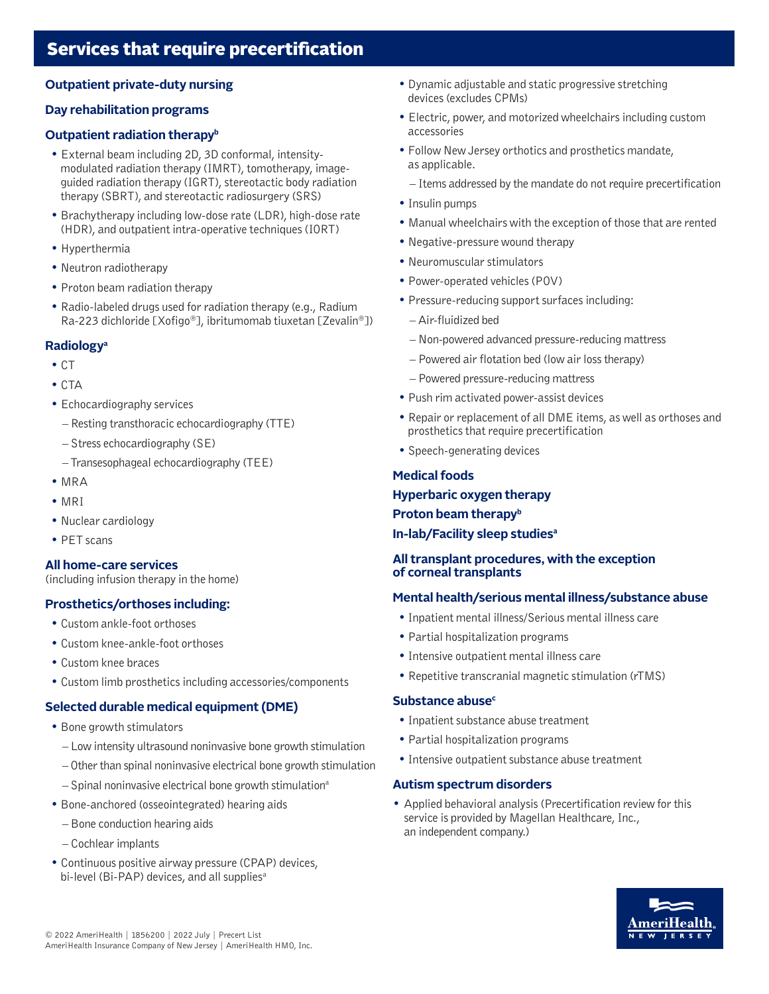# **Outpatient private-duty nursing**

## **Day rehabilitation programs**

## **Outpatient radiation therapy**<sup>b</sup>

- External beam including 2D, 3D conformal, intensitymodulated radiation therapy (IMRT), tomotherapy, imageguided radiation therapy (IGRT), stereotactic body radiation therapy (SBRT), and stereotactic radiosurgery (SRS)
- Brachytherapy including low-dose rate (LDR), high-dose rate (HDR), and outpatient intra-operative techniques (IORT)
- Hyperthermia
- Neutron radiotherapy
- Proton beam radiation therapy
- Radio-labeled drugs used for radiation therapy (e.g., Radium Ra-223 dichloride [Xofigo®], ibritumomab tiuxetan [Zevalin®])

# **Radiologya**

- CT
- CTA
- Echocardiography services
	- Resting transthoracic echocardiography (TTE)
	- Stress echocardiography (SE)
	- Transesophageal echocardiography (TEE)
- MRA
- MRI
- Nuclear cardiology
- PET scans

#### **All home-care services**

(including infusion therapy in the home)

# **Prosthetics/orthoses including:**

- Custom ankle-foot orthoses
- Custom knee-ankle-foot orthoses
- Custom knee braces
- Custom limb prosthetics including accessories/components

# **Selected durable medical equipment (DME)**

- Bone growth stimulators
	- Low intensity ultrasound noninvasive bone growth stimulation
	- Other than spinal noninvasive electrical bone growth stimulation
	- $-$  Spinal noninvasive electrical bone growth stimulation<sup>a</sup>
- Bone-anchored (osseointegrated) hearing aids
	- Bone conduction hearing aids
	- Cochlear implants
- Continuous positive airway pressure (CPAP) devices, bi-level (Bi-PAP) devices, and all supplies<sup>a</sup>
- Dynamic adjustable and static progressive stretching devices (excludes CPMs)
- Electric, power, and motorized wheelchairs including custom accessories
- Follow New Jersey orthotics and prosthetics mandate, as applicable.
	- Items addressed by the mandate do not require precertification
- Insulin pumps
- Manual wheelchairs with the exception of those that are rented
- Negative-pressure wound therapy
- Neuromuscular stimulators
- Power-operated vehicles (POV)
- Pressure-reducing support surfaces including:
	- Air-fluidized bed
	- Non-powered advanced pressure-reducing mattress
	- Powered air flotation bed (low air loss therapy)
	- Powered pressure-reducing mattress
- Push rim activated power-assist devices
- Repair or replacement of all DME items, as well as orthoses and prosthetics that require precertification
- Speech-generating devices

# **Medical foods**

#### **Hyperbaric oxygen therapy**

**Proton beam therapy**<sup>b</sup>

**In-lab/Facility sleep studiesa**

## **All transplant procedures, with the exception of corneal transplants**

# **Mental health/serious mental illness/substance abuse**

- Inpatient mental illness/Serious mental illness care
- Partial hospitalization programs
- Intensive outpatient mental illness care
- Repetitive transcranial magnetic stimulation (rTMS)

#### **Substance abuse<sup>c</sup>**

- Inpatient substance abuse treatment
- Partial hospitalization programs
- Intensive outpatient substance abuse treatment

#### **Autism spectrum disorders**

• Applied behavioral analysis (Precertification review for this service is provided by Magellan Healthcare, Inc., an independent company.)

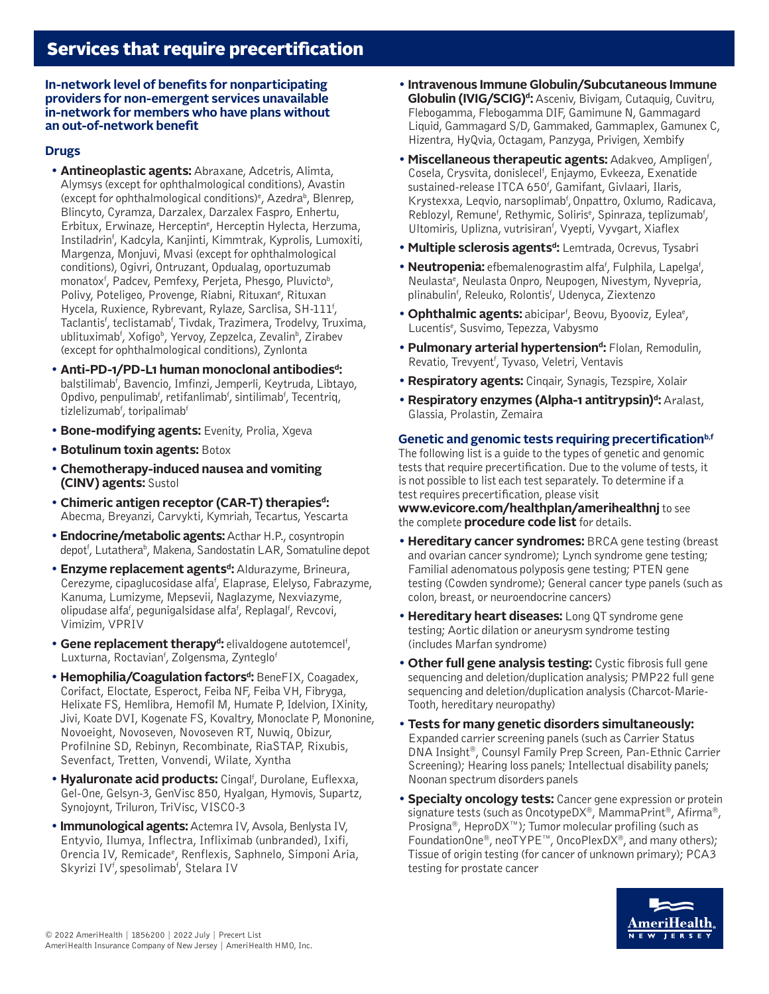**In-network level of benefits for nonparticipating providers for non-emergent services unavailable in-network for members who have plans without an out-of-network benefit**

# **Drugs**

- **Antineoplastic agents:** Abraxane, Adcetris, Alimta, Alymsys (except for ophthalmological conditions), Avastin (except for ophthalmological conditions)<sup>e</sup>, Azedra<sup>b</sup>, Blenrep, Blincyto, Cyramza, Darzalex, Darzalex Faspro, Enhertu, Erbitux, Erwinaze, Herceptin<sup>e</sup>, Herceptin Hylecta, Herzuma, Instiladrinf , Kadcyla, Kanjinti, Kimmtrak, Kyprolis, Lumoxiti, Margenza, Monjuvi, Mvasi (except for ophthalmological conditions), Ogivri, Ontruzant, Opdualag, oportuzumab monatox<sup>f</sup>, Padcev, Pemfexy, Perjeta, Phesgo, Pluvicto<sup>b</sup>, Polivy, Poteligeo, Provenge, Riabni, Rituxan<sup>e</sup>, Rituxan Hycela, Ruxience, Rybrevant, Rylaze, Sarclisa, SH-111<sup>f</sup>, Taclantis<sup>f</sup>, teclistamab<sup>f</sup>, Tivdak, Trazimera, Trodelvy, Truxima, ublituximab<sup>f</sup>, Xofigo<sup>b</sup>, Yervoy, Zepzelca, Zevalin<sup>b</sup>, Zirabev (except for ophthalmological conditions), Zynlonta
- **Anti-PD-1/PD-L1 human monoclonal antibodiesd:** balstilimab<sup>f</sup>, Bavencio, Imfinzi, Jemperli, Keytruda, Libtayo, Opdivo, penpulimab<sup>f</sup>, retifanlimab<sup>f</sup>, sintilimab<sup>f</sup>, Tecentriq, tizlelizumab<sup>f</sup>, toripalimab<sup>f</sup>
- **Bone-modifying agents:** Evenity, Prolia, Xgeva
- **Botulinum toxin agents:** Botox
- **Chemotherapy-induced nausea and vomiting (CINV) agents:** Sustol
- **Chimeric antigen receptor (CAR-T) therapiesd:**  Abecma, Breyanzi, Carvykti, Kymriah, Tecartus, Yescarta
- **Endocrine/metabolic agents:** Acthar H.P., cosyntropin depot<sup>f</sup>, Lutathera<sup>b</sup>, Makena, Sandostatin LAR, Somatuline depot
- **Enzyme replacement agents<sup>d</sup>:** Aldurazyme, Brineura, Cerezyme, cipaglucosidase alfa<sup>f</sup>, Elaprase, Elelyso, Fabrazyme, Kanuma, Lumizyme, Mepsevii, Naglazyme, Nexviazyme, olipudase alfa<sup>f</sup>, pegunigalsidase alfa<sup>f</sup>, Replagal<sup>f</sup>, Revcovi, Vimizim, VPRIV
- **Gene replacement therapy<sup>d</sup>:** elivaldogene autotemcel<sup>f</sup>, Luxturna, Roctavian<sup>f</sup>, Zolgensma, Zynteglo<sup>f</sup>
- **Hemophilia/Coagulation factorsd:** BeneFIX, Coagadex, Corifact, Eloctate, Esperoct, Feiba NF, Feiba VH, Fibryga, Helixate FS, Hemlibra, Hemofil M, Humate P, Idelvion, IXinity, Jivi, Koate DVI, Kogenate FS, Kovaltry, Monoclate P, Mononine, Novoeight, Novoseven, Novoseven RT, Nuwiq, Obizur, Profilnine SD, Rebinyn, Recombinate, RiaSTAP, Rixubis, Sevenfact, Tretten, Vonvendi, Wilate, Xyntha
- **Hyaluronate acid products:** Cingal<sup>f</sup>, Durolane, Euflexxa, Gel-One, Gelsyn-3, GenVisc 850, Hyalgan, Hymovis, Supartz, Synojoynt, Triluron, TriVisc, VISCO-3
- **Immunological agents:** Actemra IV, Avsola, Benlysta IV, Entyvio, Ilumya, Inflectra, Infliximab (unbranded), Ixifi, Orencia IV, Remicade<sup>e</sup>, Renflexis, Saphnelo, Simponi Aria, Skyrizi IV<sup>f</sup>, spesolimab<sup>f</sup>, Stelara IV
- **Intravenous Immune Globulin/Subcutaneous Immune Globulin (IVIG/SCIG)d:** Asceniv, Bivigam, Cutaquig, Cuvitru, Flebogamma, Flebogamma DIF, Gamimune N, Gammagard Liquid, Gammagard S/D, Gammaked, Gammaplex, Gamunex C, Hizentra, HyQvia, Octagam, Panzyga, Privigen, Xembify
- **Miscellaneous therapeutic agents: Adakveo, Ampligen<sup>f</sup>,** Cosela, Crysvita, donislecel<sup>f</sup>, Enjaymo, Evkeeza, Exenatide sustained-release ITCA 650f , Gamifant, Givlaari, Ilaris, Krystexxa, Leqvio, narsoplimab<sup>f</sup>, Onpattro, Oxlumo, Radicava, Reblozyl, Remune<sup>f</sup>, Rethymic, Soliris<sup>e</sup>, Spinraza, teplizumab<sup>f</sup>, Ultomiris, Uplizna, vutrisiran<sup>f</sup>, Vyepti, Vyvgart, Xiaflex
- **Multiple sclerosis agents<sup>d</sup>:** Lemtrada, Ocrevus, Tysabri
- **Neutropenia:** efbemalenograstim alfa<sup>f</sup>, Fulphila, Lapelga<sup>f</sup>, Neulasta<sup>e</sup>, Neulasta Onpro, Neupogen, Nivestym, Nyvepria, plinabulin<sup>f</sup>, Releuko, Rolontis<sup>f</sup>, Udenyca, Ziextenzo
- **Ophthalmic agents:** abicipar<sup>f</sup>, Beovu, Byooviz, Eylea<sup>e</sup>, Lucentis<sup>e</sup>, Susvimo, Tepezza, Vabysmo
- **Pulmonary arterial hypertensiond:** Flolan, Remodulin, Revatio, Trevyent<sup>f</sup>, Tyvaso, Veletri, Ventavis
- **Respiratory agents:** Cinqair, Synagis, Tezspire, Xolair
- **Respiratory enzymes (Alpha-1 antitrypsin)d: Aralast,** Glassia, Prolastin, Zemaira

#### Genetic and genomic tests requiring precertification<sup>b,f</sup>

The following list is a guide to the types of genetic and genomic tests that require precertification. Due to the volume of tests, it is not possible to list each test separately. To determine if a test requires precertification, please visit

**[www.evicore.com/healthplan/amerihealthnj](http://www.evicore.com/healthplan/amerihealthnj)** to see the complete **procedure code list** for details.

- **Hereditary cancer syndromes:** BRCA gene testing (breast and ovarian cancer syndrome); Lynch syndrome gene testing; Familial adenomatous polyposis gene testing; PTEN gene testing (Cowden syndrome); General cancer type panels (such as colon, breast, or neuroendocrine cancers)
- **Hereditary heart diseases:** Long QT syndrome gene testing; Aortic dilation or aneurysm syndrome testing (includes Marfan syndrome)
- **Other full gene analysis testing:** Cystic fibrosis full gene sequencing and deletion/duplication analysis; PMP22 full gene sequencing and deletion/duplication analysis (Charcot-Marie-Tooth, hereditary neuropathy)
- **Tests for many genetic disorders simultaneously:**  Expanded carrier screening panels (such as Carrier Status DNA Insight®, Counsyl Family Prep Screen, Pan-Ethnic Carrier Screening); Hearing loss panels; Intellectual disability panels; Noonan spectrum disorders panels
- **Specialty oncology tests:** Cancer gene expression or protein signature tests (such as OncotypeDX®, MammaPrint®, Afirma®, Prosigna®, HeproDX™); Tumor molecular profiling (such as FoundationOne®, neoTYPE™, OncoPlexDX®, and many others); Tissue of origin testing (for cancer of unknown primary); PCA3 testing for prostate cancer